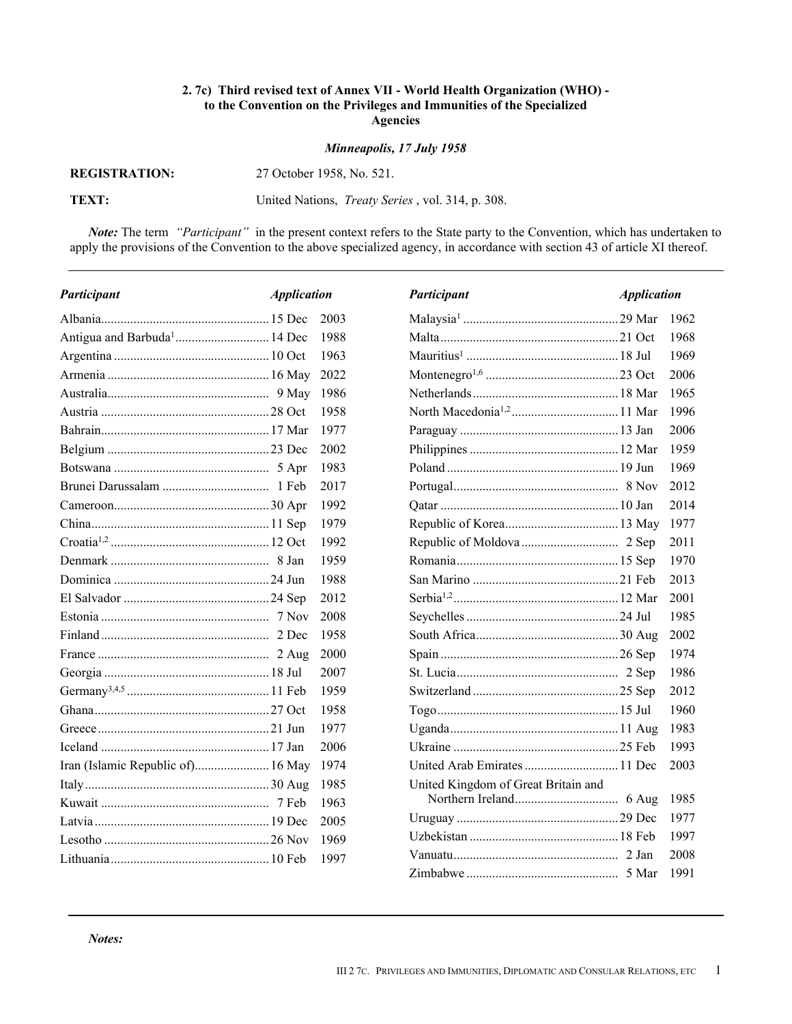## **2. 7c) Third revised text of Annex VII - World Health Organization (WHO) to the Convention on the Privileges and Immunities of the Specialized Agencies**

## *Minneapolis, 17 July 1958*

**REGISTRATION:** 

**REGISTRATION:** 27 October 1958, No. 521.

**TEXT:** United Nations, *Treaty Series* , vol. 314, p. 308.

*Note:* The term *"Participant"* in the present context refers to the State party to the Convention, which has undertaken to apply the provisions of the Convention to the above specialized agency, in accordance with section 43 of article XI thereof.

| Participant | <b>Application</b> |      | Participant                         | <b>Application</b> |      |
|-------------|--------------------|------|-------------------------------------|--------------------|------|
|             |                    | 2003 |                                     |                    | 1962 |
|             |                    | 1988 |                                     |                    | 1968 |
|             |                    | 1963 |                                     |                    | 1969 |
|             |                    | 2022 |                                     |                    | 2006 |
|             |                    | 1986 |                                     |                    | 1965 |
|             |                    | 1958 |                                     |                    | 1996 |
|             |                    | 1977 |                                     |                    | 2006 |
|             |                    | 2002 |                                     |                    | 1959 |
|             |                    | 1983 |                                     |                    | 1969 |
|             |                    | 2017 |                                     |                    | 2012 |
|             |                    | 1992 |                                     |                    | 2014 |
|             |                    | 1979 |                                     |                    | 1977 |
|             |                    | 1992 |                                     |                    | 2011 |
|             |                    | 1959 |                                     |                    | 1970 |
|             |                    | 1988 |                                     |                    | 2013 |
|             |                    | 2012 |                                     |                    | 2001 |
|             |                    | 2008 |                                     |                    | 1985 |
|             |                    | 1958 |                                     |                    | 2002 |
|             |                    | 2000 |                                     |                    | 1974 |
|             |                    | 2007 |                                     |                    | 1986 |
|             |                    | 1959 |                                     |                    | 2012 |
|             |                    | 1958 |                                     |                    | 1960 |
|             |                    | 1977 |                                     |                    | 1983 |
|             |                    | 2006 |                                     |                    | 1993 |
|             |                    | 1974 | United Arab Emirates  11 Dec        |                    | 2003 |
|             |                    | 1985 | United Kingdom of Great Britain and |                    |      |
|             |                    | 1963 |                                     |                    | 1985 |
|             |                    | 2005 |                                     |                    | 1977 |
|             |                    | 1969 |                                     |                    | 1997 |
|             |                    | 1997 |                                     |                    | 2008 |
|             |                    |      |                                     |                    | 1991 |